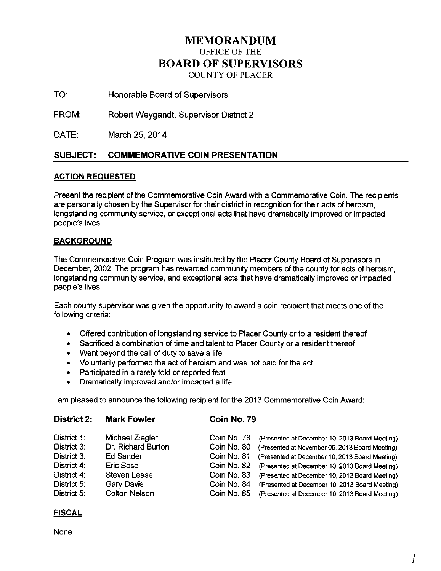# **MEMORANDUM**  OFFICE OF THE **BOARD OF SUPERVISORS**

COUNTY OF PLACER

TO: Honorable Board of Supervisors

FROM: Robert Weygandt, Supervisor District 2

DATE: March 25, 2014

## **SUBJECT: COMMEMORATIVE COIN PRESENTATION**

#### **ACTION REQUESTED**

Present the recipient of the Commemorative Coin Award with a Commemorative Coin. The recipients are personally chosen by the Supervisor for their district in recognition for their acts of heroism, longstanding community service, or exceptional acts that have dramatically improved or impacted people's lives.

### **BACKGROUND**

The Commemorative Coin Program was instituted by the Placer County Board of Supervisors in December, 2002. The program has rewarded community members of the county for acts of heroism, longstanding community service, and exceptional acts that have dramatically improved or impacted people's lives.

Each county supervisor was given the opportunity to award a coin recipient that meets one of the following criteria:

- Offered contribution of longstanding service to Placer County or to a resident thereof
- Sacrificed a combination of time and talent to Placer County or a resident thereof
- Went beyond the call of duty to save a life
- Voluntarily performed the act of heroism and was not paid for the act
- Participated in a rarely told or reported feat
- Dramatically improved and/or impacted a life

I am pleased to announce the following recipient for the 2013 Commemorative Coin Award:

| <b>District 2:</b><br>District 1:<br>District 3: | <b>Mark Fowler</b><br>Michael Ziegler<br>Dr. Richard Burton | Coin No. 79                |                                                                                                  |
|--------------------------------------------------|-------------------------------------------------------------|----------------------------|--------------------------------------------------------------------------------------------------|
|                                                  |                                                             | Coin No. 78<br>Coin No. 80 | (Presented at December 10, 2013 Board Meeting)<br>(Presented at November 05, 2013 Board Meeting) |
| District 3:                                      | <b>Ed Sander</b>                                            | Coin No. 81                | (Presented at December 10, 2013 Board Meeting)                                                   |
| District 4:                                      | Eric Bose                                                   | Coin No. 82                | (Presented at December 10, 2013 Board Meeting)                                                   |
| District 4:                                      | <b>Steven Lease</b>                                         | Coin No. 83                | (Presented at December 10, 2013 Board Meeting)                                                   |
| District 5:                                      | <b>Gary Davis</b>                                           | Coin No. 84                | (Presented at December 10, 2013 Board Meeting)                                                   |
| District 5:                                      | <b>Colton Nelson</b>                                        | Coin No. 85                | (Presented at December 10, 2013 Board Meeting)                                                   |

I

#### **FISCAL**

None